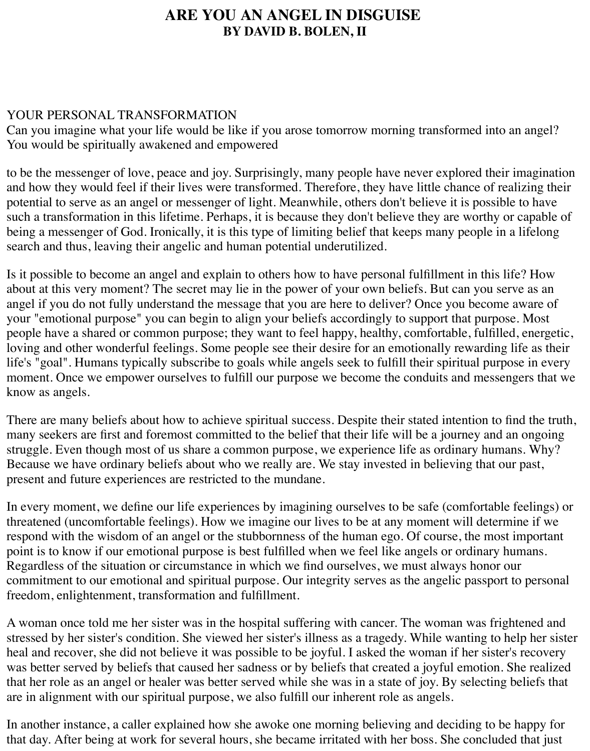## **ARE YOU AN ANGEL IN DISGUISE BY DAVID B. BOLEN, II**

## YOUR PERSONAL TRANSFORMATION

Can you imagine what your life would be like if you arose tomorrow morning transformed into an angel? You would be spiritually awakened and empowered

to be the messenger of love, peace and joy. Surprisingly, many people have never explored their imagination and how they would feel if their lives were transformed. Therefore, they have little chance of realizing their potential to serve as an angel or messenger of light. Meanwhile, others don't believe it is possible to have such a transformation in this lifetime. Perhaps, it is because they don't believe they are worthy or capable of being a messenger of God. Ironically, it is this type of limiting belief that keeps many people in a lifelong search and thus, leaving their angelic and human potential underutilized.

Is it possible to become an angel and explain to others how to have personal fulfillment in this life? How about at this very moment? The secret may lie in the power of your own beliefs. But can you serve as an angel if you do not fully understand the message that you are here to deliver? Once you become aware of your "emotional purpose" you can begin to align your beliefs accordingly to support that purpose. Most people have a shared or common purpose; they want to feel happy, healthy, comfortable, fulfilled, energetic, loving and other wonderful feelings. Some people see their desire for an emotionally rewarding life as their life's "goal". Humans typically subscribe to goals while angels seek to fulfill their spiritual purpose in every moment. Once we empower ourselves to fulfill our purpose we become the conduits and messengers that we know as angels.

There are many beliefs about how to achieve spiritual success. Despite their stated intention to find the truth, many seekers are first and foremost committed to the belief that their life will be a journey and an ongoing struggle. Even though most of us share a common purpose, we experience life as ordinary humans. Why? Because we have ordinary beliefs about who we really are. We stay invested in believing that our past, present and future experiences are restricted to the mundane.

In every moment, we define our life experiences by imagining ourselves to be safe (comfortable feelings) or threatened (uncomfortable feelings). How we imagine our lives to be at any moment will determine if we respond with the wisdom of an angel or the stubbornness of the human ego. Of course, the most important point is to know if our emotional purpose is best fulfilled when we feel like angels or ordinary humans. Regardless of the situation or circumstance in which we find ourselves, we must always honor our commitment to our emotional and spiritual purpose. Our integrity serves as the angelic passport to personal freedom, enlightenment, transformation and fulfillment.

A woman once told me her sister was in the hospital suffering with cancer. The woman was frightened and stressed by her sister's condition. She viewed her sister's illness as a tragedy. While wanting to help her sister heal and recover, she did not believe it was possible to be joyful. I asked the woman if her sister's recovery was better served by beliefs that caused her sadness or by beliefs that created a joyful emotion. She realized that her role as an angel or healer was better served while she was in a state of joy. By selecting beliefs that are in alignment with our spiritual purpose, we also fulfill our inherent role as angels.

In another instance, a caller explained how she awoke one morning believing and deciding to be happy for that day. After being at work for several hours, she became irritated with her boss. She concluded that just